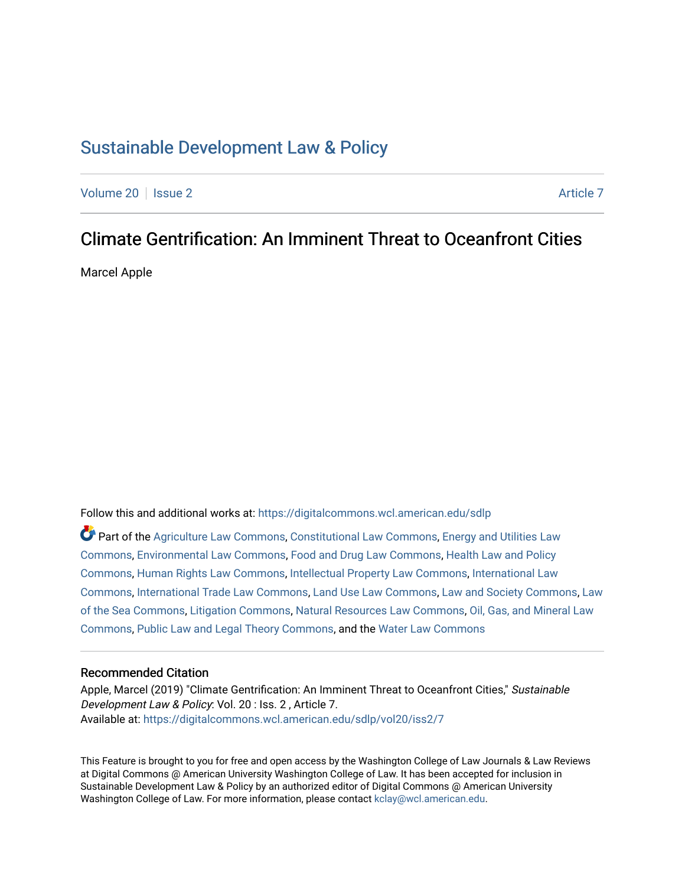## [Sustainable Development Law & Policy](https://digitalcommons.wcl.american.edu/sdlp)

[Volume 20](https://digitalcommons.wcl.american.edu/sdlp/vol20) | [Issue 2](https://digitalcommons.wcl.american.edu/sdlp/vol20/iss2) [Article 7](https://digitalcommons.wcl.american.edu/sdlp/vol20/iss2/7) Article 7 Article 7 Article 7 Article 7 Article 7 Article 7

# Climate Gentrification: An Imminent Threat to Oceanfront Cities

Marcel Apple

Follow this and additional works at: [https://digitalcommons.wcl.american.edu/sdlp](https://digitalcommons.wcl.american.edu/sdlp?utm_source=digitalcommons.wcl.american.edu%2Fsdlp%2Fvol20%2Fiss2%2F7&utm_medium=PDF&utm_campaign=PDFCoverPages)

Part of the [Agriculture Law Commons](http://network.bepress.com/hgg/discipline/581?utm_source=digitalcommons.wcl.american.edu%2Fsdlp%2Fvol20%2Fiss2%2F7&utm_medium=PDF&utm_campaign=PDFCoverPages), [Constitutional Law Commons](http://network.bepress.com/hgg/discipline/589?utm_source=digitalcommons.wcl.american.edu%2Fsdlp%2Fvol20%2Fiss2%2F7&utm_medium=PDF&utm_campaign=PDFCoverPages), [Energy and Utilities Law](http://network.bepress.com/hgg/discipline/891?utm_source=digitalcommons.wcl.american.edu%2Fsdlp%2Fvol20%2Fiss2%2F7&utm_medium=PDF&utm_campaign=PDFCoverPages) [Commons](http://network.bepress.com/hgg/discipline/891?utm_source=digitalcommons.wcl.american.edu%2Fsdlp%2Fvol20%2Fiss2%2F7&utm_medium=PDF&utm_campaign=PDFCoverPages), [Environmental Law Commons,](http://network.bepress.com/hgg/discipline/599?utm_source=digitalcommons.wcl.american.edu%2Fsdlp%2Fvol20%2Fiss2%2F7&utm_medium=PDF&utm_campaign=PDFCoverPages) [Food and Drug Law Commons,](http://network.bepress.com/hgg/discipline/844?utm_source=digitalcommons.wcl.american.edu%2Fsdlp%2Fvol20%2Fiss2%2F7&utm_medium=PDF&utm_campaign=PDFCoverPages) [Health Law and Policy](http://network.bepress.com/hgg/discipline/901?utm_source=digitalcommons.wcl.american.edu%2Fsdlp%2Fvol20%2Fiss2%2F7&utm_medium=PDF&utm_campaign=PDFCoverPages) [Commons](http://network.bepress.com/hgg/discipline/901?utm_source=digitalcommons.wcl.american.edu%2Fsdlp%2Fvol20%2Fiss2%2F7&utm_medium=PDF&utm_campaign=PDFCoverPages), [Human Rights Law Commons,](http://network.bepress.com/hgg/discipline/847?utm_source=digitalcommons.wcl.american.edu%2Fsdlp%2Fvol20%2Fiss2%2F7&utm_medium=PDF&utm_campaign=PDFCoverPages) [Intellectual Property Law Commons,](http://network.bepress.com/hgg/discipline/896?utm_source=digitalcommons.wcl.american.edu%2Fsdlp%2Fvol20%2Fiss2%2F7&utm_medium=PDF&utm_campaign=PDFCoverPages) [International Law](http://network.bepress.com/hgg/discipline/609?utm_source=digitalcommons.wcl.american.edu%2Fsdlp%2Fvol20%2Fiss2%2F7&utm_medium=PDF&utm_campaign=PDFCoverPages)  [Commons](http://network.bepress.com/hgg/discipline/609?utm_source=digitalcommons.wcl.american.edu%2Fsdlp%2Fvol20%2Fiss2%2F7&utm_medium=PDF&utm_campaign=PDFCoverPages), [International Trade Law Commons,](http://network.bepress.com/hgg/discipline/848?utm_source=digitalcommons.wcl.american.edu%2Fsdlp%2Fvol20%2Fiss2%2F7&utm_medium=PDF&utm_campaign=PDFCoverPages) [Land Use Law Commons,](http://network.bepress.com/hgg/discipline/852?utm_source=digitalcommons.wcl.american.edu%2Fsdlp%2Fvol20%2Fiss2%2F7&utm_medium=PDF&utm_campaign=PDFCoverPages) [Law and Society Commons](http://network.bepress.com/hgg/discipline/853?utm_source=digitalcommons.wcl.american.edu%2Fsdlp%2Fvol20%2Fiss2%2F7&utm_medium=PDF&utm_campaign=PDFCoverPages), [Law](http://network.bepress.com/hgg/discipline/855?utm_source=digitalcommons.wcl.american.edu%2Fsdlp%2Fvol20%2Fiss2%2F7&utm_medium=PDF&utm_campaign=PDFCoverPages) [of the Sea Commons](http://network.bepress.com/hgg/discipline/855?utm_source=digitalcommons.wcl.american.edu%2Fsdlp%2Fvol20%2Fiss2%2F7&utm_medium=PDF&utm_campaign=PDFCoverPages), [Litigation Commons,](http://network.bepress.com/hgg/discipline/910?utm_source=digitalcommons.wcl.american.edu%2Fsdlp%2Fvol20%2Fiss2%2F7&utm_medium=PDF&utm_campaign=PDFCoverPages) [Natural Resources Law Commons](http://network.bepress.com/hgg/discipline/863?utm_source=digitalcommons.wcl.american.edu%2Fsdlp%2Fvol20%2Fiss2%2F7&utm_medium=PDF&utm_campaign=PDFCoverPages), [Oil, Gas, and Mineral Law](http://network.bepress.com/hgg/discipline/864?utm_source=digitalcommons.wcl.american.edu%2Fsdlp%2Fvol20%2Fiss2%2F7&utm_medium=PDF&utm_campaign=PDFCoverPages)  [Commons](http://network.bepress.com/hgg/discipline/864?utm_source=digitalcommons.wcl.american.edu%2Fsdlp%2Fvol20%2Fiss2%2F7&utm_medium=PDF&utm_campaign=PDFCoverPages), [Public Law and Legal Theory Commons](http://network.bepress.com/hgg/discipline/871?utm_source=digitalcommons.wcl.american.edu%2Fsdlp%2Fvol20%2Fiss2%2F7&utm_medium=PDF&utm_campaign=PDFCoverPages), and the [Water Law Commons](http://network.bepress.com/hgg/discipline/887?utm_source=digitalcommons.wcl.american.edu%2Fsdlp%2Fvol20%2Fiss2%2F7&utm_medium=PDF&utm_campaign=PDFCoverPages) 

#### Recommended Citation

Apple, Marcel (2019) "Climate Gentrification: An Imminent Threat to Oceanfront Cities," Sustainable Development Law & Policy: Vol. 20 : Iss. 2 , Article 7. Available at: [https://digitalcommons.wcl.american.edu/sdlp/vol20/iss2/7](https://digitalcommons.wcl.american.edu/sdlp/vol20/iss2/7?utm_source=digitalcommons.wcl.american.edu%2Fsdlp%2Fvol20%2Fiss2%2F7&utm_medium=PDF&utm_campaign=PDFCoverPages)

This Feature is brought to you for free and open access by the Washington College of Law Journals & Law Reviews at Digital Commons @ American University Washington College of Law. It has been accepted for inclusion in Sustainable Development Law & Policy by an authorized editor of Digital Commons @ American University Washington College of Law. For more information, please contact [kclay@wcl.american.edu.](mailto:kclay@wcl.american.edu)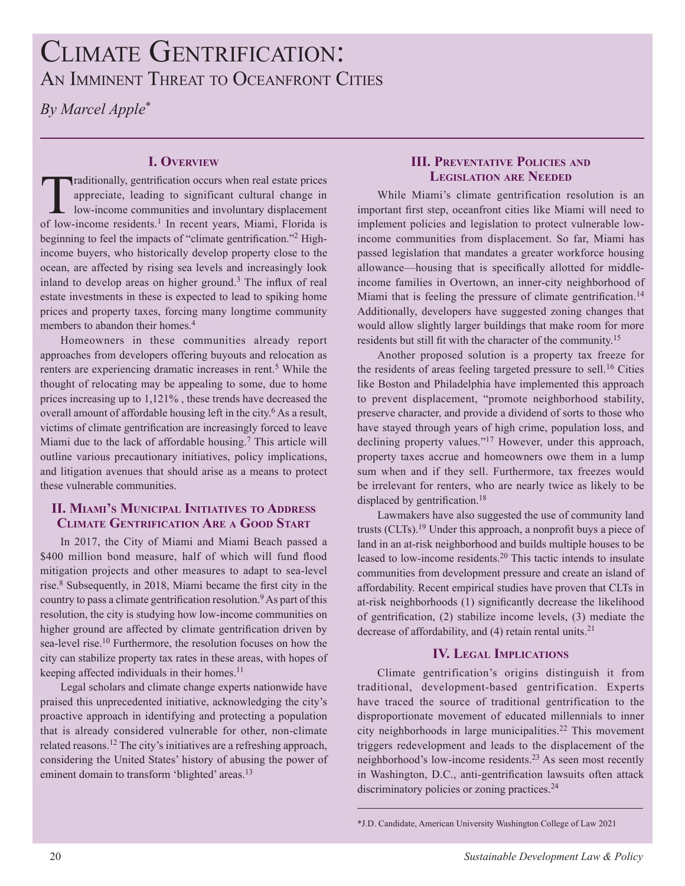# CLIMATE GENTRIFICATION: AN IMMINENT THREAT TO OCEANFRONT CITIES

*By Marcel Apple*\*

## **I. overvIew**

Traditionally, gentrification occurs when real estate prices<br>appreciate, leading to significant cultural change in<br>low-income communities and involuntary displacement<br>of low-income residents l. In recent were Minni-Eleride appreciate, leading to significant cultural change in low-income communities and involuntary displacement of low-income residents.<sup>1</sup> In recent years, Miami, Florida is beginning to feel the impacts of "climate gentrification."<sup>2</sup> Highincome buyers, who historically develop property close to the ocean, are affected by rising sea levels and increasingly look inland to develop areas on higher ground.<sup>3</sup> The influx of real estate investments in these is expected to lead to spiking home prices and property taxes, forcing many longtime community members to abandon their homes.<sup>4</sup>

Homeowners in these communities already report approaches from developers offering buyouts and relocation as renters are experiencing dramatic increases in rent.<sup>5</sup> While the thought of relocating may be appealing to some, due to home prices increasing up to 1,121% , these trends have decreased the overall amount of affordable housing left in the city.<sup>6</sup> As a result, victims of climate gentriication are increasingly forced to leave Miami due to the lack of affordable housing.<sup>7</sup> This article will outline various precautionary initiatives, policy implications, and litigation avenues that should arise as a means to protect these vulnerable communities.

## **II. MIAMI'S MUNICIPAL INITIATIVES TO ADDRESS ClImaTe genTrIFICaTIon are a good STarT**

In 2017, the City of Miami and Miami Beach passed a \$400 million bond measure, half of which will fund flood mitigation projects and other measures to adapt to sea-level rise.<sup>8</sup> Subsequently, in 2018, Miami became the first city in the country to pass a climate gentrification resolution.<sup>9</sup> As part of this resolution, the city is studying how low-income communities on higher ground are affected by climate gentrification driven by sea-level rise.<sup>10</sup> Furthermore, the resolution focuses on how the city can stabilize property tax rates in these areas, with hopes of keeping affected individuals in their homes.<sup>11</sup>

Legal scholars and climate change experts nationwide have praised this unprecedented initiative, acknowledging the city's proactive approach in identifying and protecting a population that is already considered vulnerable for other, non-climate related reasons.<sup>12</sup> The city's initiatives are a refreshing approach, considering the United States' history of abusing the power of eminent domain to transform 'blighted' areas.<sup>13</sup>

#### **III. PREVENTATIVE POLICIES AND LEGISLATION ARE NEEDED**

While Miami's climate gentrification resolution is an important first step, oceanfront cities like Miami will need to implement policies and legislation to protect vulnerable lowincome communities from displacement. So far, Miami has passed legislation that mandates a greater workforce housing allowance—housing that is specifically allotted for middleincome families in Overtown, an inner-city neighborhood of Miami that is feeling the pressure of climate gentrification.<sup>14</sup> Additionally, developers have suggested zoning changes that would allow slightly larger buildings that make room for more residents but still fit with the character of the community.<sup>15</sup>

Another proposed solution is a property tax freeze for the residents of areas feeling targeted pressure to sell.<sup>16</sup> Cities like Boston and Philadelphia have implemented this approach to prevent displacement, "promote neighborhood stability, preserve character, and provide a dividend of sorts to those who have stayed through years of high crime, population loss, and declining property values."<sup>17</sup> However, under this approach, property taxes accrue and homeowners owe them in a lump sum when and if they sell. Furthermore, tax freezes would be irrelevant for renters, who are nearly twice as likely to be displaced by gentrification.<sup>18</sup>

Lawmakers have also suggested the use of community land trusts (CLTs).<sup>19</sup> Under this approach, a nonprofit buys a piece of land in an at-risk neighborhood and builds multiple houses to be leased to low-income residents.<sup>20</sup> This tactic intends to insulate communities from development pressure and create an island of affordability. Recent empirical studies have proven that CLTs in at-risk neighborhoods (1) significantly decrease the likelihood of gentriication, (2) stabilize income levels, (3) mediate the decrease of affordability, and  $(4)$  retain rental units.<sup>21</sup>

## **IV. LEGAL IMPLICATIONS**

Climate gentrification's origins distinguish it from traditional, development-based gentrification. Experts have traced the source of traditional gentrification to the disproportionate movement of educated millennials to inner city neighborhoods in large municipalities.<sup>22</sup> This movement triggers redevelopment and leads to the displacement of the neighborhood's low-income residents.<sup>23</sup> As seen most recently in Washington, D.C., anti-gentrification lawsuits often attack discriminatory policies or zoning practices.<sup>24</sup>

<sup>\*</sup>J.D. Candidate, American University Washington College of Law 2021